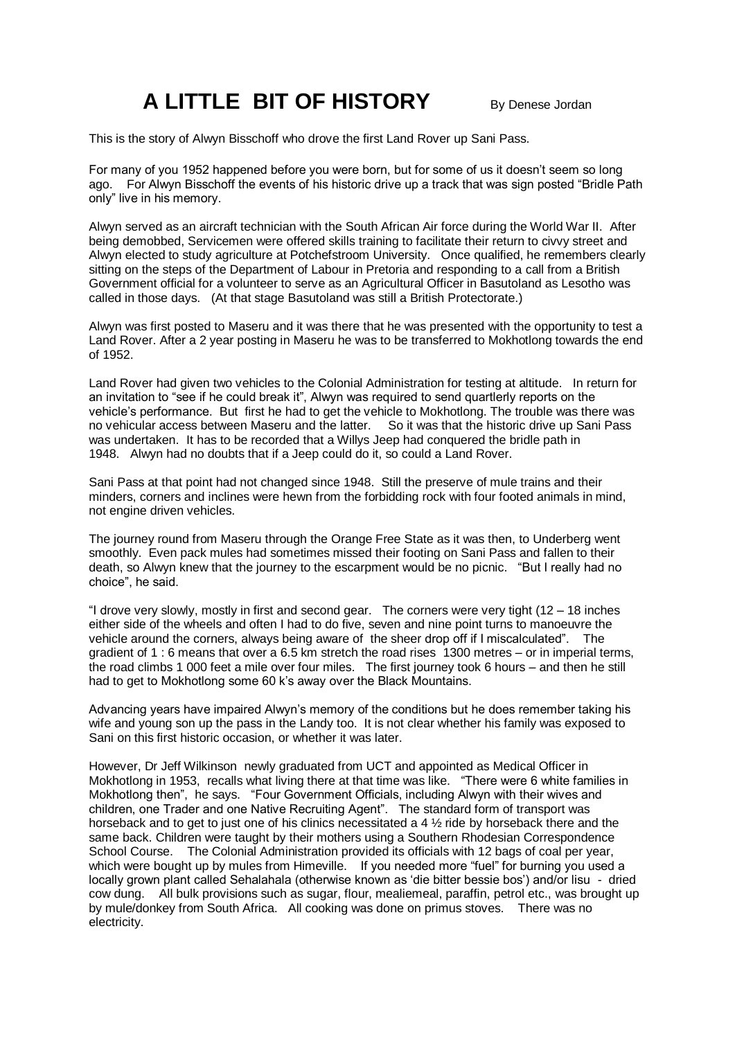## **A LITTLE BIT OF HISTORY** By Denese Jordan

This is the story of Alwyn Bisschoff who drove the first Land Rover up Sani Pass.

For many of you 1952 happened before you were born, but for some of us it doesn't seem so long ago. For Alwyn Bisschoff the events of his historic drive up a track that was sign posted "Bridle Path only" live in his memory.

Alwyn served as an aircraft technician with the South African Air force during the World War II. After being demobbed, Servicemen were offered skills training to facilitate their return to civvy street and Alwyn elected to study agriculture at Potchefstroom University. Once qualified, he remembers clearly sitting on the steps of the Department of Labour in Pretoria and responding to a call from a British Government official for a volunteer to serve as an Agricultural Officer in Basutoland as Lesotho was called in those days. (At that stage Basutoland was still a British Protectorate.)

Alwyn was first posted to Maseru and it was there that he was presented with the opportunity to test a Land Rover. After a 2 year posting in Maseru he was to be transferred to Mokhotlong towards the end of 1952.

Land Rover had given two vehicles to the Colonial Administration for testing at altitude. In return for an invitation to "see if he could break it", Alwyn was required to send quartlerly reports on the vehicle's performance. But first he had to get the vehicle to Mokhotlong. The trouble was there was no vehicular access between Maseru and the latter. So it was that the historic drive up Sani Pass was undertaken. It has to be recorded that a Willys Jeep had conquered the bridle path in 1948. Alwyn had no doubts that if a Jeep could do it, so could a Land Rover.

Sani Pass at that point had not changed since 1948. Still the preserve of mule trains and their minders, corners and inclines were hewn from the forbidding rock with four footed animals in mind, not engine driven vehicles.

The journey round from Maseru through the Orange Free State as it was then, to Underberg went smoothly. Even pack mules had sometimes missed their footing on Sani Pass and fallen to their death, so Alwyn knew that the journey to the escarpment would be no picnic. "But I really had no choice", he said.

"I drove very slowly, mostly in first and second gear. The corners were very tight  $(12 - 18)$  inches either side of the wheels and often I had to do five, seven and nine point turns to manoeuvre the vehicle around the corners, always being aware of the sheer drop off if I miscalculated". The gradient of 1 : 6 means that over a 6.5 km stretch the road rises 1300 metres – or in imperial terms, the road climbs 1 000 feet a mile over four miles. The first journey took 6 hours – and then he still had to get to Mokhotlong some 60 k's away over the Black Mountains.

Advancing years have impaired Alwyn's memory of the conditions but he does remember taking his wife and young son up the pass in the Landy too. It is not clear whether his family was exposed to Sani on this first historic occasion, or whether it was later.

However, Dr Jeff Wilkinson newly graduated from UCT and appointed as Medical Officer in Mokhotlong in 1953, recalls what living there at that time was like. "There were 6 white families in Mokhotlong then", he says. "Four Government Officials, including Alwyn with their wives and children, one Trader and one Native Recruiting Agent". The standard form of transport was horseback and to get to just one of his clinics necessitated a 4 ½ ride by horseback there and the same back. Children were taught by their mothers using a Southern Rhodesian Correspondence School Course. The Colonial Administration provided its officials with 12 bags of coal per year, which were bought up by mules from Himeville. If you needed more "fuel" for burning you used a locally grown plant called Sehalahala (otherwise known as 'die bitter bessie bos') and/or lisu - dried cow dung. All bulk provisions such as sugar, flour, mealiemeal, paraffin, petrol etc., was brought up by mule/donkey from South Africa. All cooking was done on primus stoves. There was no electricity.